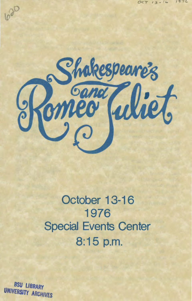

**October 13-16 1976 Special Events Center 8:15 p.m.** 

*BSU LIBRARY*  UNIVERSITY ARCHIVES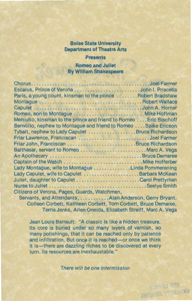# **Boise State University Department of Theatre Arts**

## **Presents**

## **Romeo and Juliet By William Shakespeare**

| Paris, a young count, kinsman to the prince  Robert Bradshaw       |  |
|--------------------------------------------------------------------|--|
|                                                                    |  |
|                                                                    |  |
|                                                                    |  |
| Mercutio, kinsman to the prince and friend to Romeo  Eric Bischoff |  |
| Benvolio, nephew to Montague and friend to Romeo Spike Ericson     |  |
| Tybalt, nephew to Lady Capulet Bruce Richardson                    |  |
|                                                                    |  |
|                                                                    |  |
|                                                                    |  |
|                                                                    |  |
|                                                                    |  |
| Lady Montague, wife to Montague Linda Pommerening                  |  |
| Lady Capulet, wife to Capulet  Barbara McKean                      |  |
|                                                                    |  |
|                                                                    |  |
| Citizens of Verona, Pages, Guards, Watchmen,                       |  |
| Servants, and Attendants. Alan Anderson, Gerry Bryant,             |  |

Colleen Corbett, Kathleen Corbett, Tom Corbett, Bruce Demaree, Terrie Jenks, Arlen Oneida, Elizabeth Streiff, Marc A. Vega

Jean Louis Barrault: "A classic is like a hidden treasure. Its core is buried under so many layers of varnish, so many polishings, that it can be reached only by patience and infiltration. But once it is reached-or once we think it is-there are dazzling riches to be discovered at every turn. Its resources are inexhaustable."

There will be one intermission

ESPASSIN TES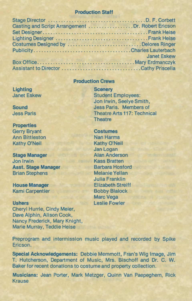# **Production Staff**

| Casting and Script Arrangement  Dr. Robert Ericson |                    |
|----------------------------------------------------|--------------------|
|                                                    |                    |
|                                                    |                    |
| Costumes Designed by Delores Ringer                |                    |
|                                                    |                    |
|                                                    | <b>Janet Eskew</b> |
|                                                    |                    |
| Assistant to Director Cathy Priscella              |                    |

### **Production Crews**

**Lighting**  Janet Eskew

**Sound**  Jess Paris

**Properties**  Gerry Bryant Ann Bittleston Kathy O'Neil

**Stage Manager**  Jon Irwin **Asst. Stage Manager**  Brian Stephens

**House Manager**  Kami Carpentier

#### **Ushers**

Cheryl Hurrle, Cindy Meier, Dave Alphin, Alison Cook, Nancy Frederick, Mary Knight, Marie Murray, Teddie Heise

**Scenery**  Student Employees: Jon Irwin, Seelye Smith, Jess Paris. Members of Theatre Arts 117: Technical **Theatre** 

**Costumes**  Nan Harms Kathy O'Neil Jan Logan Alan Anderson Kass Bratten Barbara Hosford Melanie Yellan Julia Franklin Elizabeth Streiff Bobby Blalock Marc Vega Leslie Fowler

Preprogram and intermission music played and recorded by Spike Ericson.

**Special Acknowledgements:** Debbie Memmott, Fran's Wig Image, Jim T. Hutcherson, Department of Music, Mrs. Bischoff and Dr. C. W. Baker for recent donations to costume and property collection.

**Musicians:** Jean Porter, Mark Metzger, Quinn Van Paepeghem, Rick Krause